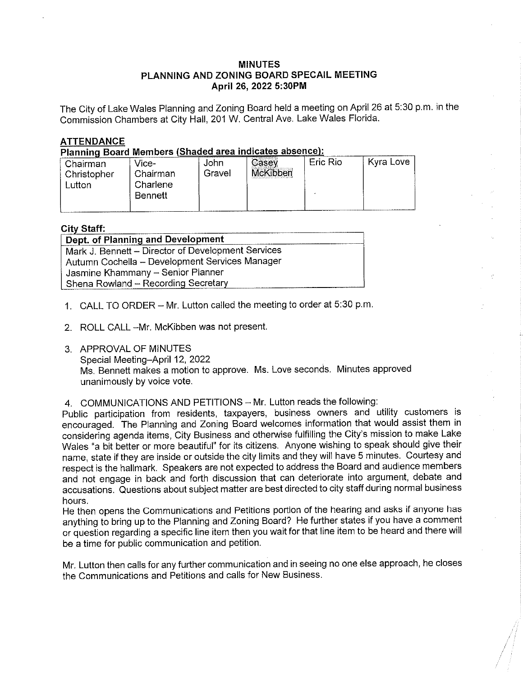# MINUTES PLANNING AND ZONING BOARD SPECAIL MEETING April 26, 2022 5:30PM

The City of Lake Wales Planning and Zoning Board held a meeting on April 26 at 5:30 p.m. in the Commission Chambers at City Hail, 201 W. Central Ave. Lake Wales Florida.

# ATTENDANCE

Planning Board Members (Shaded area indicates absence):

| Chairman<br>Christopher<br>utton. | Vice-<br>Chairman<br>Charlene<br>Bennett | John<br>Gravel | Casey<br>McKibben | Eric Rio | Kyra Love |
|-----------------------------------|------------------------------------------|----------------|-------------------|----------|-----------|
|                                   |                                          |                |                   |          |           |

### City Staff:

| Dept. of Planning and Development                  |  |
|----------------------------------------------------|--|
| Mark J. Bennett - Director of Development Services |  |
| Autumn Cochella - Development Services Manager     |  |
| Jasmine Khammany - Senior Planner                  |  |
| Shena Rowland - Recording Secretary                |  |

- 1. CALL TO ORDER Mr. Lutton called the meeting to order at 5:30 p.m.
- 2. ROLL CALL -Mr. McKibben was not present.
- 3. APPROVAL OF MINUTES Special Meeting-April 12, 2022 Ms. Bennett makes a motion to approve. Ms. Love seconds. Minutes approved unanimously by voice vote.
- 4. COMMUNICATIONS AND PETITIONS Mr. Lutton reads the following:

Public participation from residents, taxpayers, business owners and utility customers is encouraged. The Planning and Zoning Board welcomes information that would assist them in considering agenda items, City Business and otherwise fulfilling the City's mission to make Lake Wales "a bit better or more beautiful" for its citizens. Anyone wishing to speak shouid give their name, state if they are inside or outside the city limits and they will have 5 minutes. Courtesy and respect is the hallmark. Speakers are not expected to address the Board and audience members and not engage in back and forth discussion that can deteriorate into argument, debate and accusations. Questions about subject matter are best directed to city staff during normal business hours.

He then opens the Communications and Petitions portion of the hearing and asks if anyone has anything to bring up to the Planning and Zoning Board? He further states if you have a comment of question regarding a specific line item then you wait for that line item to be heard and there wil! be a time for public communication and petition.

Mr. Lutton then caiis for any further communication and in seeing no one else approach, he closes the Communications and Petitions and calls for New Business.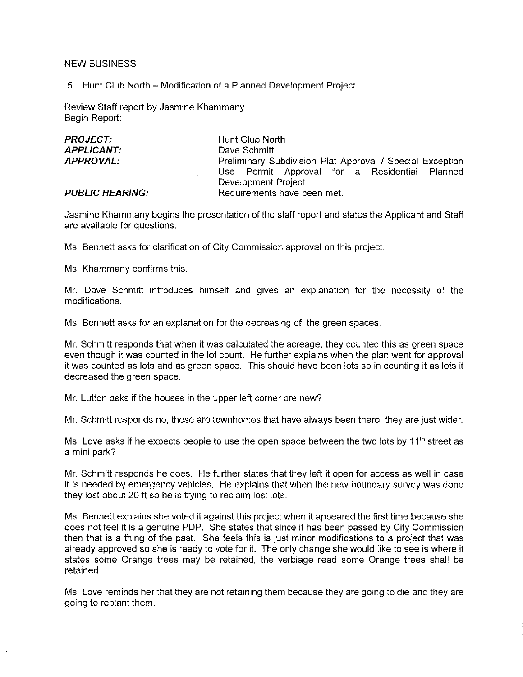### NEW BUSINESS

5. Hunt Club North - Modification of a Planned Development Project

Review Staff report by Jasmine Khammany Begin Report:

| <i>PROJECT:</i>        | Hunt Club North                                           |  |  |  |  |
|------------------------|-----------------------------------------------------------|--|--|--|--|
| APPLICANT:             | Dave Schmitt                                              |  |  |  |  |
| <b>APPROVAL:</b>       | Preliminary Subdivision Plat Approval / Special Exception |  |  |  |  |
|                        | Use Permit Approval for a Residential Planned             |  |  |  |  |
|                        | Development Project                                       |  |  |  |  |
| <b>PUBLIC HEARING:</b> | Requirements have been met.                               |  |  |  |  |

Jasmine Khammany begins the presentation of the staff report and states the Applicant and Staff are available for questions.

Ms. Bennett asks for clarification of City Commission approval on this project.

Ms. Khammany confirms this.

Mr. Dave Schmitt introduces himseif and gives an explanation for the necessity of the modifications.

Ms. Bennett asks for an explanation for the decreasing of the green spaces,

Mr. Schmitt responds that when it was caicuiated the acreage, they counted this as green space even though it was counted in the lot count. He further explains when the plan went for approval it was counted as lots and as green space. This should have been lots so in counting it as lots it decreased the green space.

Mr. Lutton asks if the houses in the upper left corner are new?

Mr. Schmitt responds no, these are townhomes that have always been there, they are just wider.

Ms. Love asks if he expects people to use the open space between the two lots by  $11<sup>th</sup>$  street as a mini park?

Mr. Schmitt responds he does. He further states that they left it open for access as we!i in case it is needed by emergency vehicles, He explains that when the new boundary survey was done they lost about 20 ft so he is trying to reclaim lost lots.

Ms. Bennett explains she voted it against this project when it appeared the first time because she does not feel it is a genuine PDP. She states that since it has been passed by City Commission then that is a thing of the past. She feels this is just minor modifications to a project that was already approved so she is ready to vote for it. The only change she would like to see is where it states some Orange trees may be retained, the verbiage read some Orange trees shall be retained.

Ms. Love reminds her that they are not retaining them because they are going to die and they are going to replant them.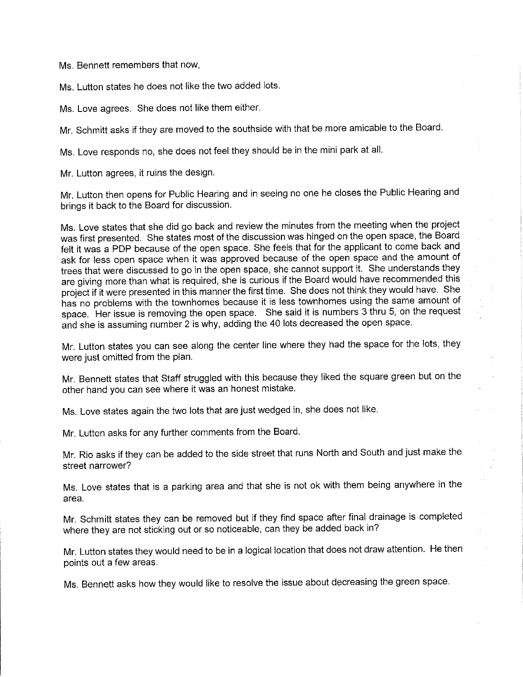Ms, Bennett remembers that now,

Ms. Lutton states he does not like the two added lots.

Ms. Love agrees. She does not like them either.

Mr. Schmitt asks if they are moved to the southside with that be more amicable to the Board.

Ms. Love responds no, she does not feel they should be in the mini park at all.

Mr. Lutton agrees, it ruins the design.

Mr. Lutton then opens for Public Hearing and in seeing no one he closes the Public Hearing and brings it back to the Board for discussion.

Ms. Love states that she did go back and review the minutes from the meeting when the project was first presented. She states most of the discussion was hinged on the open space, the Board felt it was a PDP because of the open space. She feels that for the applicant to come back and ask for less open space when it was approved because of the open space and the amount of<br>trees that were discussed to go in the open space, she cannot support it. She understands they trees that were discussed to go in the open space, she cannot support it. She understands they are giving more than what is required, she is curious if the Board would have recommended this project if it were presented in this manner the first time. She does not think they would have. She has no problems with the townhomes because it is less townhomes using the same amount of space. Her issue is removing the open space. She said it is numbers 3 thru 5, on the request and she is assuming number 2 is why, adding the 40 lots decreased the open space.

Mr. Lutton states you can see along the center line where they had the space for the lots, they were just omitted from the plan.

Mr. Bennett states that Staff struggled with this because they iiked the square green but on the other hand you can see where it was an honest mistake.

Ms. Love states again the two lots that are just wedged in, she does not like.

Mr. Lutton asks for any further comments from the Board.

Mr. Rio asks if they can be added to the side street that runs North and South and just make the street narrower?

Ms. Love states that is a parking area and that she is not ok with them being anywhere in the area.

Mr. Schmitt states they can be removed but if they find space after final drainage is compieted where they are not sticking out or so noticeable, can they be added back in?

Mr. Lutton states they would need to be in a logical location that does not draw attention. He then points out a few areas.

Ms. Bennett asks how they would like to resolve the issue about decreasing the green space.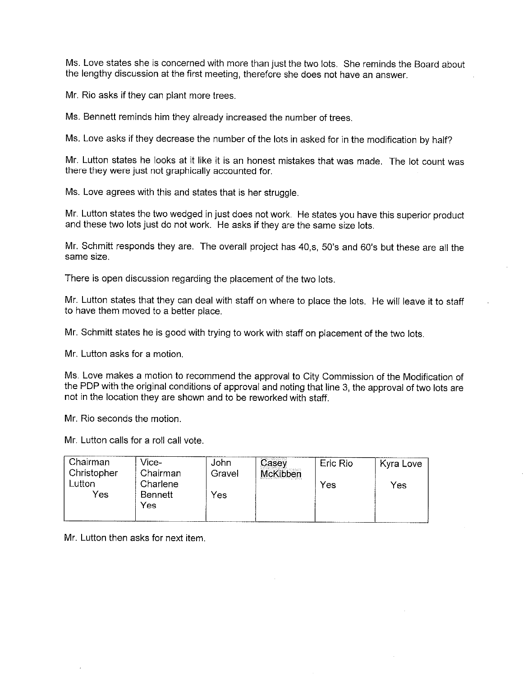Ms. Love states she is concerned with more than just the two lots. She reminds the Board about the iengthy discussion at the first meeting, therefore she does not have an answer.

Mr. Rio asks if they can plant more trees.

Ms. Bennett reminds him they already increased the number of trees,

Ms. Love asks if they decrease the number of the lots in asked for in the modification by half?

Mr. Lutton states he looks at it like it is an honest mistakes that was made. The lot count was there they were just not graphically accounted for.

Ms. Love agrees with this and states that is her struggle.

Mr. Lutton states the two wedged in just does not work. He states you have this superior product and these two lots just do not work. He asks if they are the same size lots.

Mr. Schmitt responds they are. The overall project has 40,s, 50's and 60's but these are all the same size.

There is open discussion regarding the placement of the two lots.

Mr. Lutton states that they can deal with staff on where to place the lots. He will leave it to staff to have them moved to a better place.

Mr. Schmitt states he is good with trying to work with staff on placement of the two lots.

Mr. Lutton asks for a motion.

Ms. Love makes a motion to recommend the approval to City Commission of the Modification of the PDP with the original conditions of approval and noting that line 3, the approval of two lots are not in the location they are shown and to be reworked with staff.

Mr. Rio seconds the motion.

Mr. Lutton calls for a roll call vote.

| . Chairman  | Vice-          | John   | Casey    | Eric Rio | Kyra Love |
|-------------|----------------|--------|----------|----------|-----------|
| Christopher | . Chairman     | Gravel | McKibben |          |           |
| Lutton      | Charlene       |        |          | Yes      | Yes       |
| Yes         | <b>Bennett</b> | Yes    |          |          |           |
|             | Yes            |        |          |          |           |
|             |                |        |          |          |           |

Mr. Lutton then asks for next item.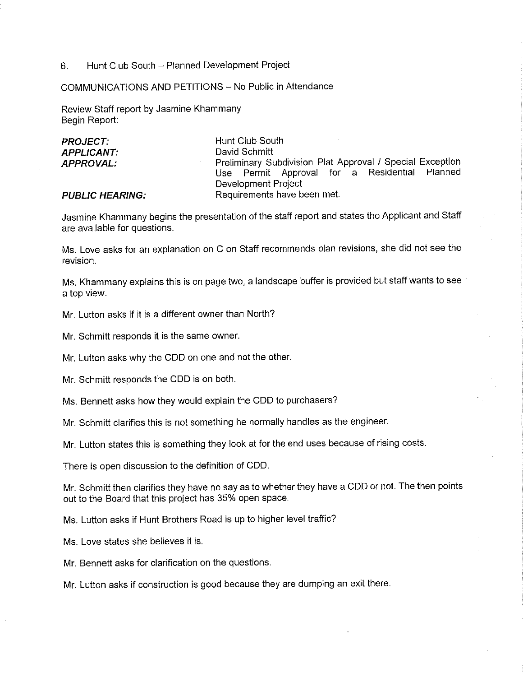6. Hunt Club South - Planned Development Project

COMMUNICATIONS AND PETITIONS - No Public in Attendance

Review Staff report by Jasmine Khammany Begin Report:

| <b>PROJECT.</b>        | Hunt Club South                                           |  |  |  |  |
|------------------------|-----------------------------------------------------------|--|--|--|--|
| <b>APPLICANT:</b>      | David Schmitt                                             |  |  |  |  |
| <b>APPROVAL:</b>       | Preliminary Subdivision Plat Approval / Special Exception |  |  |  |  |
|                        | Use Permit Approval for a Residential Planned             |  |  |  |  |
|                        | Development Project                                       |  |  |  |  |
| <b>PUBLIC HEARING:</b> | Requirements have been met.                               |  |  |  |  |

Jasmine Khammany begins the presentation of the staff report and states the Applicant and Staff are available for questions.

Ms. Love asks for an explanation on C on Staff recommends plan revisions, she did not see the revision.

Ms. Khammany explains this is on page two, a landscape buffer is provided but staff wants to see a top view.

Mr. Lutton asks if it is a different owner than North?

Mr. Schmitt responds it is the same owner.

Mr. Lutton asks why the CDD on one and not the other,

Mr. Schmitt responds the CDD is on both.

Ms. Bennett asks how they would explain the CDD to purchasers?

Mr. Schmitt clarifies this is not something he normally handles as the engineer.

Mr. Lutton states this is something they look at for the end uses because of rising costs.

There is open discussion to the definition of CDD.

Mr. Schmitt then clarifies they have no say as to whether they have a CDD or not. The then points out to the Board that this project has 35% open space.

Ms. Lutton asks if Hunt Brothers Road is up to higher level traffic?

Ms. Love states she believes it is.

Mr. Bennett asks for clarification on the questions,

Mr. Lutton asks if construction is good because they are dumping an exit there.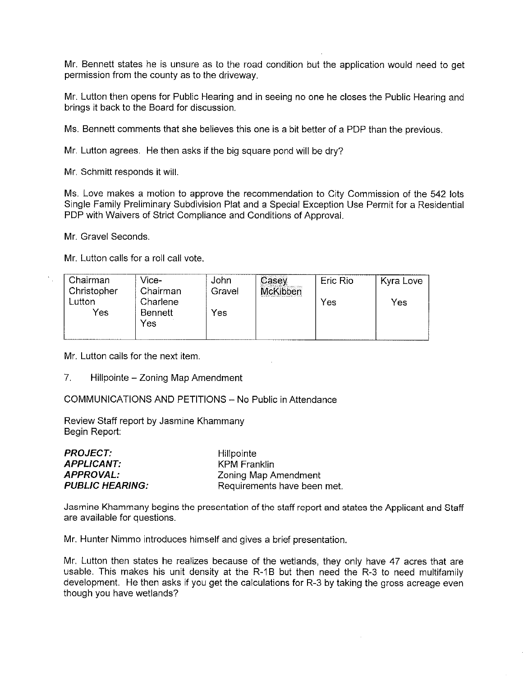Mr. Bennett states he is unsure as to the road condition but the application would need to get permission from the county as to the driveway.

Mr. Lutton then opens for Public Hearing and in seeing no one he closes the Public Hearing and brings it back to the Board for discussion.

Ms. Bennett comments that she believes this one is a bit better of a PDP than the previous.

Mr. Lutton agrees, He then asks if the big square pond wil! be dry?

Mr, Schmitt responds it will.

Ms, Love makes a motion to approve the recommendation to City Commission of the 542 lots Single Family Preliminary Subdivision Piat and a Special Exception Use Permit for a Residential PDP with Waivers of Strict Compliance and Conditions of Approval.

Mr. Gravel Seconds.

Mr. Lutton calls for a roll call vote.

| . Chairman<br>Ghristopher | Vice-<br>Chairman                 | John<br>Gravel | Casey<br><b>McKibben</b> | Eric Rio | Kyra Love |
|---------------------------|-----------------------------------|----------------|--------------------------|----------|-----------|
| Lutton<br>Yes             | Charlene<br><b>Bennett</b><br>Yes | Yes            |                          | Yes      | Yes       |

Mr. Lutton calls for the next item.

7. Hillpointe - Zoning Map Amendment

COMMUNICATIONS AND PETITIONS ~ No Public in Attendance

Review Staff report by Jasmine Khammany Begin Report:

| Hillpointe                  |
|-----------------------------|
| KPM Franklin                |
| Zoning Map Amendment        |
| Requirements have been met. |
|                             |

Jasmine Khammany begins the presentation of the staff report and states the Applicant and Staff are available for questions.

Mr. Hunter Nimmo introduces himself and gives a brief presentation.

Mr, Lutton then states he realizes because of the wetlands, they only have 47 acres that are usable. This makes his unit density at the R-1B but then need the R-3 to need muitifamiiy development. He then asks if you get the calculations for R-3 by taking the gross acreage even though you have wetlands?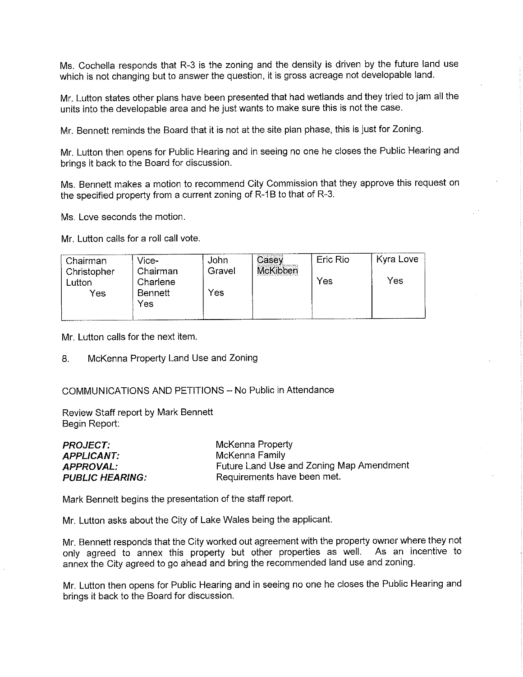Ms. Cochella responds that R-3 is the zoning and the density is driven by the future land use which is not changing but to answer the question, it is gross acreage not developable iand.

Mr. Lutton states other plans have been presented that had wetlands and they tried to jam ail the units into the deveiopabie area and he just wants to make sure this is not the case.

Mr. Bennett reminds the Board that it is not at the site plan phase, this is Just for Zoning.

Mr. Lutton then opens for Public Hearing and in seeing no one he closes the Public Hearing and brings it back to the Board for discussion.

Ms. Bennett makes a motion to recommend City Commission that they approve this request on the specified property from a current zoning of R-1B to that of R-3.

Ms. Love seconds the motion.

Mr. Lutton calls for a roll call vote.

| Chairman    | Vice-          | John   | $\overline{\text{Case}}$ | Eric Rio | Kyra Love |
|-------------|----------------|--------|--------------------------|----------|-----------|
| Christopher | Chairman       | Gravel | <b>McKibben</b>          |          | Yes       |
| Lutton      | Charlene       |        |                          | Yes      |           |
| Yes         | Bennett<br>Yes | Yes    |                          |          |           |
|             |                |        |                          |          |           |

Mr. Lutton calls for the next item.

8. McKenna Property Land Use and Zoning

### COMMUNICATIONS AND PETITIONS - No Public in Attendance

Review Staff report by Mark Bennett Begin Report:

| PROJECT.               | McKenna Property                         |
|------------------------|------------------------------------------|
| APPLICANT:             | McKenna Family                           |
| APPROVAL:              | Future Land Use and Zoning Map Amendment |
| <i>PUBLIC HEARING:</i> | Requirements have been met.              |

Mark Bennett begins the presentation of the staff report.

Mr. Lutton asks about the City of Lake Wales being the applicant.

Mr. Bennett responds that the City worked out agreement with the property owner where they not<br>only agreed, to annex this property but other properties as well. As an incentive to only agreed to annex this property but other properties as well. annex the City agreed to go ahead and bring the recommended land use and zoning.

Mr. Lutton then opens for Public Hearing and in seeing no one he doses the Public Hearing and brings it back to the Board for discussion.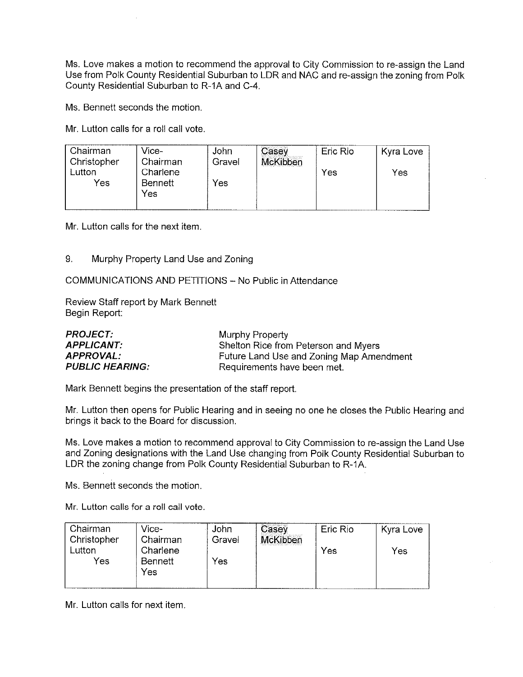Ms. Love makes a motion to recommend the approval to City Commission to re-assign the Land Use from Polk County Residential Suburban to LDR and NAC and re-assign the zoning from Polk County Residential Suburban to R-1A and C-4,

Ms. Bennett seconds the motion.

Mr. Lutton calls for a roll call vote.

| . Chairman<br>Christopher | Vice-<br>. Chairman        | John<br>Gravel | Casey<br>McKibben | Eric Rio | Kyra Love |
|---------------------------|----------------------------|----------------|-------------------|----------|-----------|
| Lutton<br>Yes             | Charlene<br>Bennett<br>Yes | Yes            |                   | Yes      | Yes       |

Mr. Lutton calls for the next item.

9. Murphy Property Land Use and Zoning

COMMUNICATIONS AND PETITIONS ~ No Public in Attendance

Review Staff report by Mark Bennett Begin Report:

| <i>PROJECT:</i>        | Murphy Property                          |
|------------------------|------------------------------------------|
| APPLICANT:             | Shelton Rice from Peterson and Myers     |
| APPROVAL:              | Future Land Use and Zoning Map Amendment |
| <i>PUBLIC HEARING:</i> | Requirements have been met.              |

Mark Bennett begins the presentation of the staff report.

Mr. Lutton then opens for Public Hearing and in seeing no one he closes the Public Hearing and brings it back to the Board for discussion.

Ms. Love makes a motion to recommend approval to City Commission to re-assign the Land Use and Zoning designations with the Land Use changing from Polk County Residentia! Suburban to LDR the zoning change from Polk County Residential Suburban to R-1A.

Ms. Bennett seconds the motion.

Mr. Lutton calls for a roll call vote.

| Chairman    | Vice-    | John   | Casey    | Eric Rio | Kyra Love |
|-------------|----------|--------|----------|----------|-----------|
| Christopher | Chairman | Gravel | McKibben |          |           |
| ∟utton      | Charlene |        |          | Yes      | Yes       |
| Yes         | Bennett  | Yes    |          |          |           |
|             | Yes      |        |          |          |           |
|             |          |        |          |          |           |

Mr. Lutton calls for next item.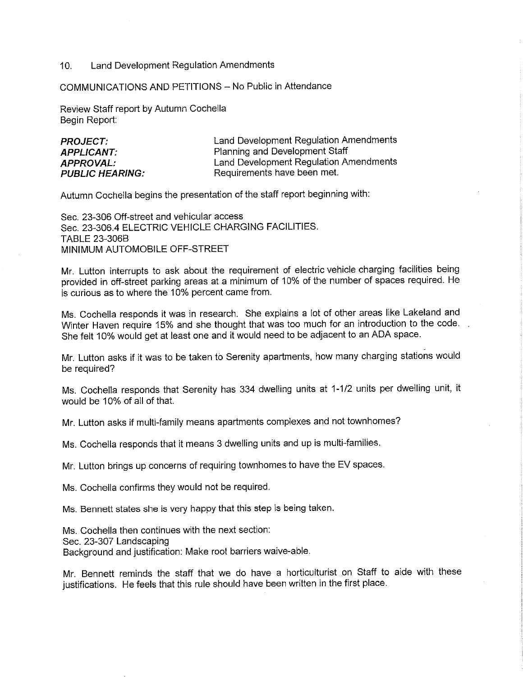#### 10. Land Development Regulation Amendments

COMMUNICATIONS AND PETITIONS - No Public in Attendance

Review Staff report by Autumn Cochella Begin Report:

| <b>PROJECT.</b>        | Land Development Regulation Amendments |
|------------------------|----------------------------------------|
| <b>APPLICANT:</b>      | Planning and Development Staff         |
| APPROVAL.              | Land Development Regulation Amendments |
| <b>PUBLIC HEARING:</b> | Requirements have been met.            |

Autumn Cochella begins the presentation of the staff report beginning with:

Sec. 23-306 Off-street and vehicular access Sec. 23-306.4 ELECTRIC VEHICLE CHARGING FACILITIES. TABLE 23-306B MINIMUM AUTOMOBILE OFF-STREET

Mr. Lutton interrupts to ask about the requirement of electric vehide charging facilities being provided in off-street parking areas at a minimum of 10% of the number of spaces required. He is curious as to where the 10% percent came from.

Ms. Cochella responds it was in research. She explains a iot of other areas like Lakeland and Winter Haven require 15% and she thought that was too much for an introduction to the code. She feit 10% would get at least one and it would need to be adjacent to an ADA space.

Mr. Lutton asks if it was to be taken to Serenity apartments, how many charging stations would be required?

Ms. Cochelia responds that Serenity has 334 dwelling units at 1-1/2 units per dwelling unit, it would be 10% of all of that.

Mr. Lutton asks if multi-family means apartments complexes and not townhomes?

Ms. Cochella responds that it means 3 dwelling units and up is multi-families.

Mr. Lutton brings up concerns of requiring townhomes to have the EV spaces.

Ms. Cocheila confirms they would not be required.

Ms. Bennett states she is very happy that this step is being taken.

Ms. Cochella then continues with the next section: Sec. 23-307 Landscaping Background and justification: Make root barriers waive-able.

Mr. Bennett reminds the staff that we do have a horticulturist on Staff to aide with these justifications. He feels that this rule should have been written in the first place.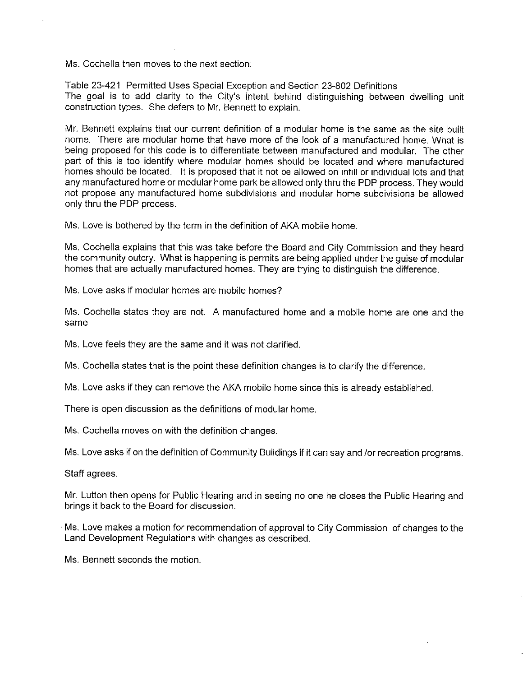Ms. Cochella then moves to the next section:

Table 23-421 Permitted Uses Special Exception and Section 23-802 Definitions The goal is to add clarity to the City's intent behind distinguishing between dwelling unit construction types. She defers to Mr, Bennett to explain.

Mr. Bennett explains that our current definition of a modular home is the same as the site built home. There are modular home that have more of the look of a manufactured home. What is being proposed for this code is to differentiate between manufactured and modular. The other part of this is too identify where modular homes should be located and where manufactured homes should be located. It is proposed that it not be allowed on infiii or individual lots and that any manufactured home or modular home park be allowed only thru the PDP process. They would not propose any manufactured home subdivisions and modular home subdivisions be allowed only thru the PDP process.

Ms. Love is bothered by the term in the definition of AKA mobile home.

Ms. Cochefia explains that this was take before the Board and City Commission and they heard the community outcry. What is happening is permits are being applied under the guise of modular homes that are actually manufactured homes. They are trying to distinguish the difference.

Ms. Love asks if modular homes are mobile homes?

Ms. Cochella states they are not. A manufactured home and a mobile home are one and the same.

Ms. Love feels they are the same and it was not clarified.

Ms. Cochella states that is the point these definition changes is to clarify the difference.

Ms. Love asks if they can remove the AKA mobile home since this is already established.

There is open discussion as the definitions of modular home.

Ms. Cochella moves on with the definition changes.

Ms. Love asks if on the definition of Community Buildings if it can say and /or recreation programs.

Staff agrees.

Mr. Lutton then opens for Public Hearing and in seeing no one he closes the Public Hearing and brings it back to the Board for discussion.

Ms. Love makes a motion for recommendation of approvai to City Commission of changes to the Land Development Regulations with changes as described.

Ms. Bennett seconds the motion.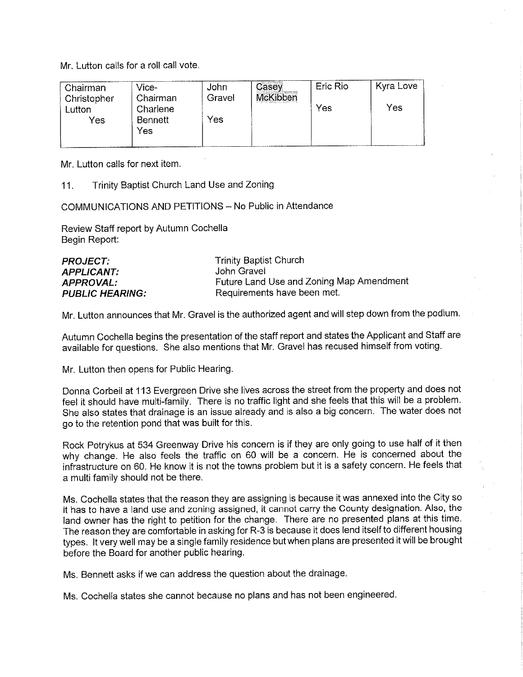Mr. Lutton calls for a roil call vote.

| Chairman<br>Christopher | Vice-<br>Chairman   | John<br>Gravel | $\overline{\mathbb{C}}$ asey<br>McKibben | Eric Rio | Kyra Love |
|-------------------------|---------------------|----------------|------------------------------------------|----------|-----------|
| Lutton<br>Yes           | Charlene<br>Bennett | Yes            |                                          | Yes      | Yes       |
|                         | Yes                 |                |                                          |          |           |

Mr. Lutton calls for next item.

11. Trinity Baptist Church Land Use and Zoning

COMMUNICATIONS AND PETITIONS - No Public in Attendance

Review Staff report by Autumn Cochella Begin Report:

| <b>PROJECT:</b>        | <b>Trinity Baptist Church</b>            |
|------------------------|------------------------------------------|
| <b>APPLICANT:</b>      | John Gravel                              |
| APPROVAL:              | Future Land Use and Zoning Map Amendment |
| <b>PUBLIC HEARING:</b> | Requirements have been met.              |

Mr. Lutton announces that Mr. Gravel is the authorized agent and will step down from the podium.

Autumn Cochelia begins the presentation of the staff report and states the Applicant and Staff are available for questions. She also mentions that Mr. Gravel has recused himself from voting.

Mr. Lutton then opens for Public Hearing.

Donna Corbeil at 113 Evergreen Drive she lives across the street from the property and does not feel it should have multi-family. There is no traffic light and she feels that this wil! be a problem. She also states that drainage is an issue already and is also a big concern. The water does not go to the retention pond that was built for this.

Rock Potrykus at 534 Greenway Drive his concern is if they are only going to use half of it then why change. He aiso feels the traffic on 60 will be a concern. He is concerned about the infrastructure on 60. He know it is not the towns problem but it is a safety concern. He feels that a multi family should not be there.

Ms. Cocheila states that the reason they are assigning is because it was annexed into the City so it has to have a land use and zoning assigned, it cannot carry the County designation. Also, the land owner has the right to petition for the change. There are no presented plans at this time. The reason they are comfortable in asking for R-3 is because it does lend itself to different housing types. It very well may be a single family residence but when plans are presented it will be brought before the Board for another public hearing.

Ms. Bennett asks if we can address the question about the drainage.

Ms. Cochelia states she cannot because no plans and has not been engineered.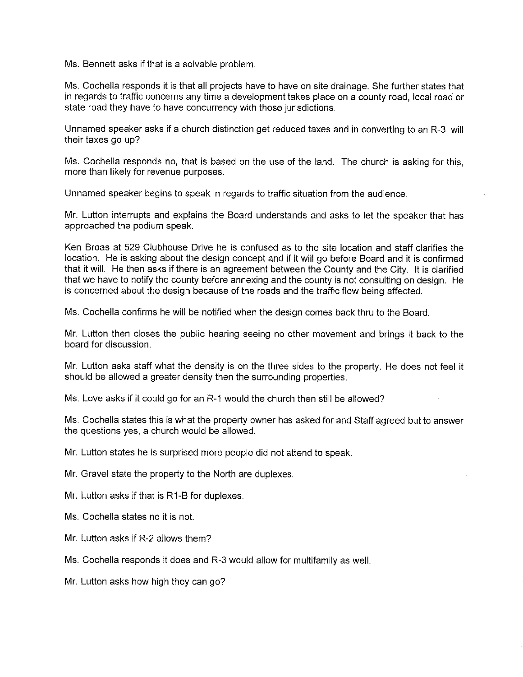Ms. Bennett asks if that is a solvable problem.

Ms. Cochella responds it is that ali projects have to have on site drainage. She further states that in regards to traffic concerns any time a development takes place on a county road, local road or state road they have to have concurrency with those jurisdictions,

Unnamed speaker asks if a church distinction get reduced taxes and in converting to an R-3, will their taxes go up?

Ms. Cocheila responds no, that is based on the use of the land. The church is asking for this, more than likely for revenue purposes.

Unnamed speaker begins to speak in regards to traffic situation from the audience.

Mr. Lutton interrupts and explains the Board understands and asks to let the speaker that has approached the podium speak.

Ken Broas at 529 Clubhouse Drive he is confused as to the site location and staff clarifies the location. He is asking about the design concept and if it will go before Board and it is confirmed that it will. He then asks if there is an agreement between the County and the City. It is clarified that we have to notify the county before annexing and the county is not consulting on design. He is concerned about the design because of the roads and the traffic flow being affected.

Ms. Cochella confirms he will be notified when the design comes back thru to the Board.

Mr. Lutton then closes the public hearing seeing no other movement and brings it back to the board for discussion.

Mr, Lutton asks staff what the density is on the three sides to the property. He does not feel it should be allowed a greater density then the surrounding properties.

Ms, Love asks if it could go for an R-1 would the church then still be allowed?

Ms, Cochella states this is what the property owner has asked for and Staff agreed but to answer the questions yes, a church would be allowed.

Mr. Lutton states he is surprised more people did not attend to speak.

Mr. Gravel state the property to the North are duplexes.

Mr. Lutton asks if that is R1-B for duplexes.

Ms. Cocheila states no it is not.

Mr. Lutton asks if R-2 allows them?

Ms. Cochella responds it does and R-3 would allow for multifamily as well.

Mr. Lutton asks how high they can go?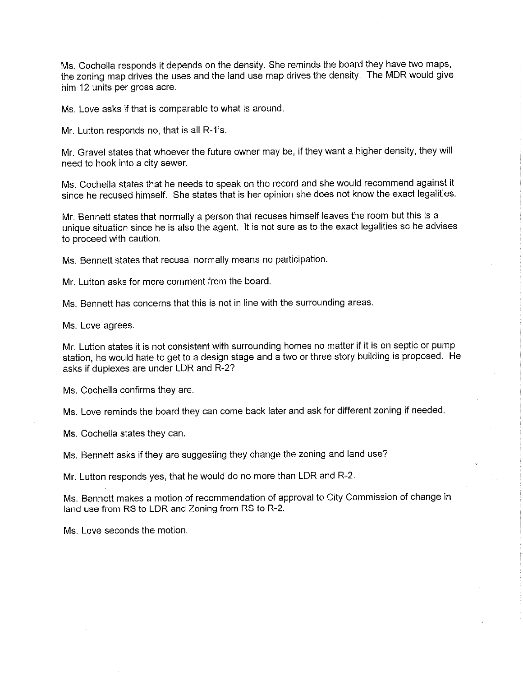Ms. Cochella responds it depends on the density. She reminds the board they have two maps, the zoning map drives the uses and the land use map drives the density. The MDR would give him 12 units per gross acre.

Ms. Love asks if that is comparable to what is around.

Mr. Lutton responds no, that is ail R-1's.

Mr. Gravel states that whoever the future owner may be, if they want a higher density, they will need to hook into a city sewer.

Ms. Cochella states that he needs to speak on the record and she would recommend against it since he recused himself. She states that is her opinion she does not know the exact legalities.

Mr. Bennett states that normally a person that recuses himself leaves the room but this is a unique situation since he is also the agent. It is not sure as to the exact legalities so he advises to proceed with caution.

Ms. Bennett states that recusal normally means no participation.

Mr. Lutton asks for more comment from the board.

Ms. Bennett has concerns that this is not in line with the surrounding areas.

Ms. Love agrees.

Mr. Lutton states it is not consistent with surrounding homes no matter if it is on septic or pump station, he would hate to get to a design stage and a two or three story building is proposed. He asks if duplexes are under LDR and R-2?

Ms. Cochella confirms they are.

Ms. Love reminds the board they can come back later and ask for different zoning if needed.

Ms. Cochella states they can.

Ms. Bennett asks if they are suggesting they change the zoning and land use?

Mr. Lutton responds yes, that he would do no more than LDR and R-2.

Ms. Bennett makes a motion of recommendation of approval to City Commission of change in land use from RS to LDR and Zoning from RS to R-2.

Ms. Love seconds the motion.